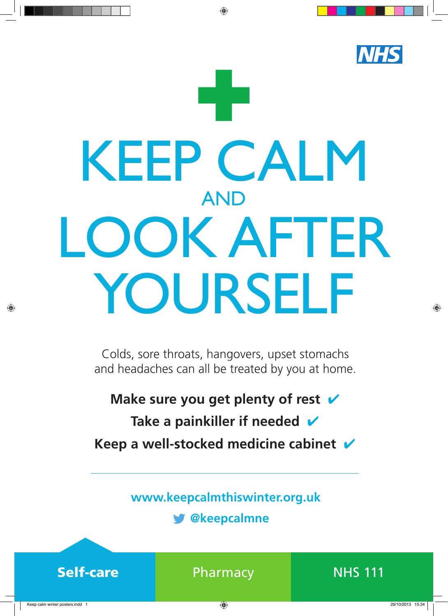## **NHS** KEEP CALM AND LOOK AFTER YOURSELF

◈

Colds, sore throats, hangovers, upset stomachs and headaches can all be treated by you at home.

**Make sure you get plenty of rest** 

Take a painkiller if needed  $\boldsymbol{\nu}$ 

**Keep a well-stocked medicine cabinet** ✔

**www.keepcalmthiswinter.org.uk** 

**@keepcalmne**



Self-care **Pharmacy** NHS 111



◈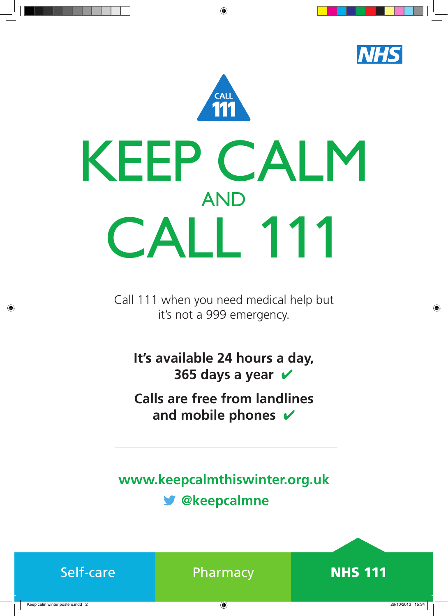

◈

Call 111 when you need medical help but it's not a 999 emergency.

**It's available 24 hours a day, 365 days a year**   $\checkmark$ 

**Calls are free from landlines**  and mobile phones  $\boldsymbol{v}$ 

**www.keepcalmthiswinter.org.uk @keepcalmne**

| Self-care |  |
|-----------|--|
|           |  |



◈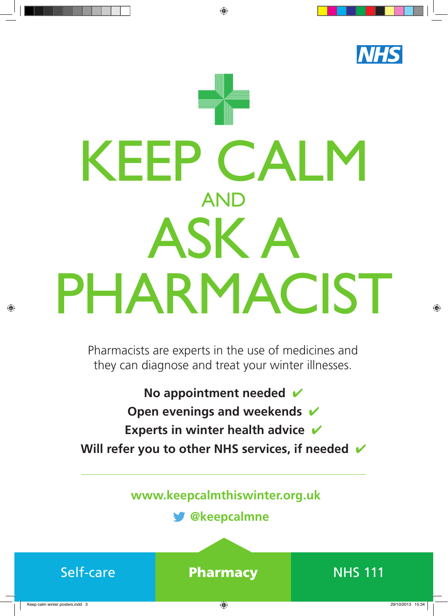

◈

Pharmacists are experts in the use of medicines and they can diagnose and treat your winter illnesses.

**No appointment needed Open evenings and weekends**  $\checkmark$ **Experts in winter health advice** ✔ Will refer you to other NHS services, if needed  $\checkmark$ 

**www.keepcalmthiswinter.org.uk** 

**@keepcalmne**



◈

Keep calm winter posters.indd 3 29/10/2013 15:34